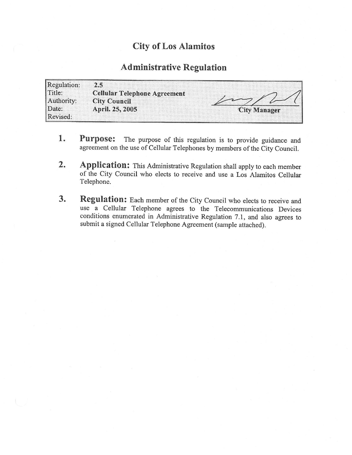## City of Los Alamitos

## Administrative Regulation

| Regulation:          | 2.5                                                        |                     |
|----------------------|------------------------------------------------------------|---------------------|
| Title:<br>Authority: | <b>Cellular Telephone Agreement</b><br><b>City Council</b> |                     |
| Date:<br>Revised:    | April. 25, 2005                                            | <b>City Manager</b> |

- 1. Purpose: The purpose of this regulation is to provide guidance and agreement on the use of Cellular Telephones by members of the City Council.
- 2. Application: This Administrative Regulation shall apply to each member of the City Council who elects to receive and use <sup>a</sup> Los Alamitos Cellular Telephone.
- 3. Regulation: Each member of the City Council who elects to receive and use a Cellular Telephone agrees to the Telecommunications Devices conditions enumerated in Administrative Regulation 7.1, and also agrees to submit a signed Cellular Telephone Agreement (sample attached).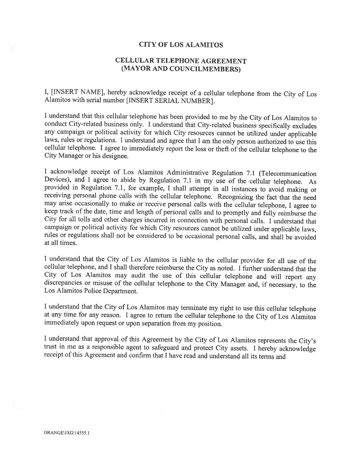## CITY OF LOS ALAMITOS

## CELLULAR TELEPHONE AGREEMENT MAYOR AND COUNCILMEMBERS)

I, [ INSERT NAME], hereby acknowledge receipt of <sup>a</sup> cellular telephone from the City of Los Alamitos with serial number [INSERT SERIAL NUMBER].

I understand that this cellular telephone has been provided to me by the City of Los Alamitos to conduct City-related business only. I understand that City-related business specifically excludes any campaign or political activity for which City resources cannot be utilized under applicable laws, rules or regulations. I understand and agree that I am the only person authorized to use this cellular telephone. I agree to immediately report the loss or theft of the cellular telephone to the City Manager or his designee.

I acknowledge receipt of Los Alamitos Administrative Regulation 7.1 (Telecommunication Devices), and I agree to abide by Regulation 7.1 in my use of the cellular telephone. As provided in Regulation 7.1, for example, I shall attempt in all instances to avoid making or receiving personal phone calls with the cellular telephone. Recognizing the fact that the need may arise occasionally to make or receive personal calls with the cellular telephone, I agree to keep track of the date, time and length of personal calls and to promptly and fully reimburse the City for all tolls and other charges incurred in connection with personal calls. I understand that campaign or political activity for which City resources cannot be utilized under applicable laws, rules or regulations shall not be considered to be occasional personal calls, and shall be avoided at all times.

I understand that the City of Los Alamitos is liable to the cellular provider for all use of the cellular telephone, and I shall therefore reimburse the City as noted. I further understand that the City of Los Alamitos may audit the use of this cellular telephone and will report any discrepancies or misuse of the cellular telephone to the City Manager and, if necessary, to the Los Alamitos Police Department.

I understand that the City of Los Alamitos may terminate my right to use this cellular telephone at any time for any reason. I agree to return the cellular telephone to the City of Los Alamitos immediately upon request or upon separation from my position.

I understand that approval of this Agreement by the City of Los Alamitos represents the City' <sup>s</sup> trust in me as a responsible agent to safeguard and protect City assets. I hereby acknowledge receipt of this Agreement and confirm that I have read and understand all its terms and